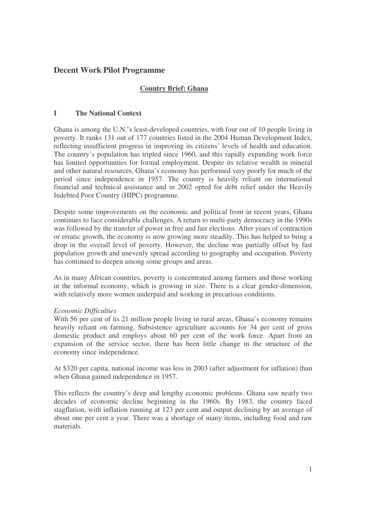# **Decent Work Pilot Programme**

# **Country Brief: Ghana**

# **I The National Context**

Ghana is among the U.N.'s least-developed countries, with four out of 10 people living in poverty. It ranks 131 out of 177 countries listed in the 2004 Human Development Index, reflecting insufficient progress in improving its citizens' levels of health and education. The country's population has tripled since 1960, and this rapidly expanding work force has limited opportunities for formal employment. Despite its relative wealth in mineral and other natural resources, Ghana's economy has performed very poorly for much of the period since independence in 1957. The country is heavily reliant on international financial and technical assistance and in 2002 opted for debt relief under the Heavily Indebted Poor Country (HIPC) programme.

Despite some improvements on the economic and political front in recent years, Ghana continues to face considerable challenges. A return to multi-party democracy in the 1990s was followed by the transfer of power in free and fair elections. After years of contraction or erratic growth, the economy is now growing more steadily. This has helped to bring a drop in the overall level of poverty. However, the decline was partially offset by fast population growth and unevenly spread according to geography and occupation. Poverty has continued to deepen among some groups and areas.

As in many African countries, poverty is concentrated among farmers and those working in the informal economy, which is growing in size. There is a clear gender-dimension, with relatively more women underpaid and working in precarious conditions.

## *Economic Difficulties*

With 56 per cent of its 21 million people living in rural areas, Ghana's economy remains heavily reliant on farming. Subsistence agriculture accounts for 34 per cent of gross domestic product and employs about 60 per cent of the work force. Apart from an expansion of the service sector, there has been little change in the structure of the economy since independence.

At \$320 per capita, national income was less in 2003 (after adjustment for inflation) than when Ghana gained independence in 1957.

This reflects the country's deep and lengthy economic problems. Ghana saw nearly two decades of economic decline beginning in the 1960s. By 1983, the country faced stagflation, with inflation running at 123 per cent and output declining by an average of about one per cent a year. There was a shortage of many items, including food and raw materials.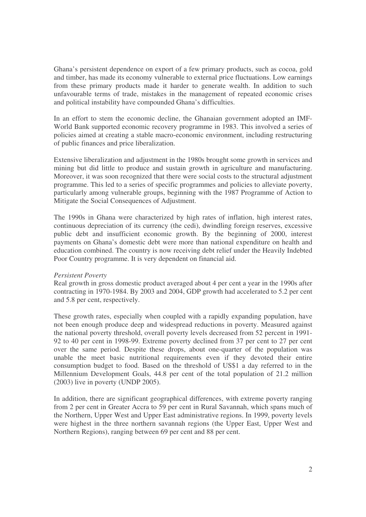Ghana's persistent dependence on export of a few primary products, such as cocoa, gold and timber, has made its economy vulnerable to external price fluctuations. Low earnings from these primary products made it harder to generate wealth. In addition to such unfavourable terms of trade, mistakes in the management of repeated economic crises and political instability have compounded Ghana's difficulties.

In an effort to stem the economic decline, the Ghanaian government adopted an IMF-World Bank supported economic recovery programme in 1983. This involved a series of policies aimed at creating a stable macro-economic environment, including restructuring of public finances and price liberalization.

Extensive liberalization and adjustment in the 1980s brought some growth in services and mining but did little to produce and sustain growth in agriculture and manufacturing. Moreover, it was soon recognized that there were social costs to the structural adjustment programme. This led to a series of specific programmes and policies to alleviate poverty, particularly among vulnerable groups, beginning with the 1987 Programme of Action to Mitigate the Social Consequences of Adjustment.

The 1990s in Ghana were characterized by high rates of inflation, high interest rates, continuous depreciation of its currency (the cedi), dwindling foreign reserves, excessive public debt and insufficient economic growth. By the beginning of 2000, interest payments on Ghana's domestic debt were more than national expenditure on health and education combined. The country is now receiving debt relief under the Heavily Indebted Poor Country programme. It is very dependent on financial aid.

## *Persistent Poverty*

Real growth in gross domestic product averaged about 4 per cent a year in the 1990s after contracting in 1970-1984. By 2003 and 2004, GDP growth had accelerated to 5.2 per cent and 5.8 per cent, respectively.

These growth rates, especially when coupled with a rapidly expanding population, have not been enough produce deep and widespread reductions in poverty. Measured against the national poverty threshold, overall poverty levels decreased from 52 percent in 1991- 92 to 40 per cent in 1998-99. Extreme poverty declined from 37 per cent to 27 per cent over the same period. Despite these drops, about one-quarter of the population was unable the meet basic nutritional requirements even if they devoted their entire consumption budget to food. Based on the threshold of US\$1 a day referred to in the Millennium Development Goals, 44.8 per cent of the total population of 21.2 million (2003) live in poverty (UNDP 2005).

In addition, there are significant geographical differences, with extreme poverty ranging from 2 per cent in Greater Accra to 59 per cent in Rural Savannah, which spans much of the Northern, Upper West and Upper East administrative regions. In 1999, poverty levels were highest in the three northern savannah regions (the Upper East, Upper West and Northern Regions), ranging between 69 per cent and 88 per cent.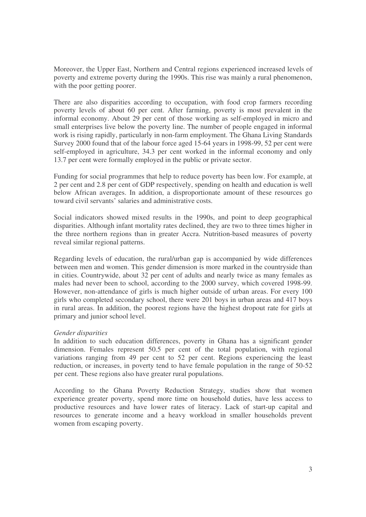Moreover, the Upper East, Northern and Central regions experienced increased levels of poverty and extreme poverty during the 1990s. This rise was mainly a rural phenomenon, with the poor getting poorer.

There are also disparities according to occupation, with food crop farmers recording poverty levels of about 60 per cent. After farming, poverty is most prevalent in the informal economy. About 29 per cent of those working as self-employed in micro and small enterprises live below the poverty line. The number of people engaged in informal work is rising rapidly, particularly in non-farm employment. The Ghana Living Standards Survey 2000 found that of the labour force aged 15-64 years in 1998-99, 52 per cent were self-employed in agriculture, 34.3 per cent worked in the informal economy and only 13.7 per cent were formally employed in the public or private sector.

Funding for social programmes that help to reduce poverty has been low. For example, at 2 per cent and 2.8 per cent of GDP respectively, spending on health and education is well below African averages. In addition, a disproportionate amount of these resources go toward civil servants' salaries and administrative costs.

Social indicators showed mixed results in the 1990s, and point to deep geographical disparities. Although infant mortality rates declined, they are two to three times higher in the three northern regions than in greater Accra. Nutrition-based measures of poverty reveal similar regional patterns.

Regarding levels of education, the rural/urban gap is accompanied by wide differences between men and women. This gender dimension is more marked in the countryside than in cities. Countrywide, about 32 per cent of adults and nearly twice as many females as males had never been to school, according to the 2000 survey, which covered 1998-99. However, non-attendance of girls is much higher outside of urban areas. For every 100 girls who completed secondary school, there were 201 boys in urban areas and 417 boys in rural areas. In addition, the poorest regions have the highest dropout rate for girls at primary and junior school level.

## *Gender disparities*

In addition to such education differences, poverty in Ghana has a significant gender dimension. Females represent 50.5 per cent of the total population, with regional variations ranging from 49 per cent to 52 per cent. Regions experiencing the least reduction, or increases, in poverty tend to have female population in the range of 50-52 per cent. These regions also have greater rural populations.

According to the Ghana Poverty Reduction Strategy, studies show that women experience greater poverty, spend more time on household duties, have less access to productive resources and have lower rates of literacy. Lack of start-up capital and resources to generate income and a heavy workload in smaller households prevent women from escaping poverty.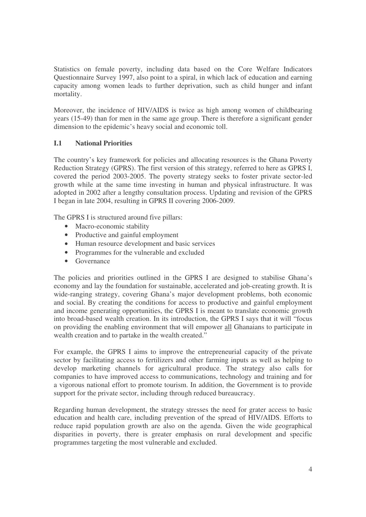Statistics on female poverty, including data based on the Core Welfare Indicators Questionnaire Survey 1997, also point to a spiral, in which lack of education and earning capacity among women leads to further deprivation, such as child hunger and infant mortality.

Moreover, the incidence of HIV/AIDS is twice as high among women of childbearing years (15-49) than for men in the same age group. There is therefore a significant gender dimension to the epidemic's heavy social and economic toll.

# **I.1 National Priorities**

The country's key framework for policies and allocating resources is the Ghana Poverty Reduction Strategy (GPRS). The first version of this strategy, referred to here as GPRS I, covered the period 2003-2005. The poverty strategy seeks to foster private sector-led growth while at the same time investing in human and physical infrastructure. It was adopted in 2002 after a lengthy consultation process. Updating and revision of the GPRS I began in late 2004, resulting in GPRS II covering 2006-2009.

The GPRS I is structured around five pillars:

- Macro-economic stability
- Productive and gainful employment
- Human resource development and basic services
- Programmes for the vulnerable and excluded
- Governance

The policies and priorities outlined in the GPRS I are designed to stabilise Ghana's economy and lay the foundation for sustainable, accelerated and job-creating growth. It is wide-ranging strategy, covering Ghana's major development problems, both economic and social. By creating the conditions for access to productive and gainful employment and income generating opportunities, the GPRS I is meant to translate economic growth into broad-based wealth creation. In its introduction, the GPRS I says that it will "focus on providing the enabling environment that will empower all Ghanaians to participate in wealth creation and to partake in the wealth created."

For example, the GPRS I aims to improve the entrepreneurial capacity of the private sector by facilitating access to fertilizers and other farming inputs as well as helping to develop marketing channels for agricultural produce. The strategy also calls for companies to have improved access to communications, technology and training and for a vigorous national effort to promote tourism. In addition, the Government is to provide support for the private sector, including through reduced bureaucracy.

Regarding human development, the strategy stresses the need for grater access to basic education and health care, including prevention of the spread of HIV/AIDS. Efforts to reduce rapid population growth are also on the agenda. Given the wide geographical disparities in poverty, there is greater emphasis on rural development and specific programmes targeting the most vulnerable and excluded.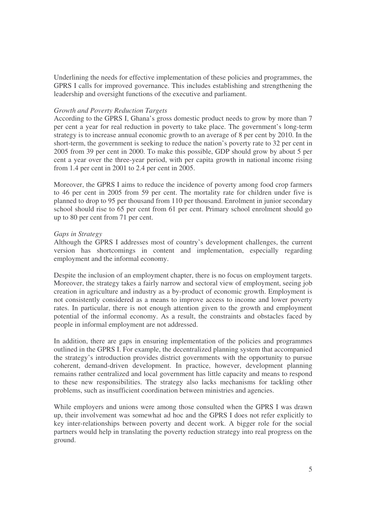Underlining the needs for effective implementation of these policies and programmes, the GPRS I calls for improved governance. This includes establishing and strengthening the leadership and oversight functions of the executive and parliament.

#### *Growth and Poverty Reduction Targets*

According to the GPRS I, Ghana's gross domestic product needs to grow by more than 7 per cent a year for real reduction in poverty to take place. The government's long-term strategy is to increase annual economic growth to an average of 8 per cent by 2010. In the short-term, the government is seeking to reduce the nation's poverty rate to 32 per cent in 2005 from 39 per cent in 2000. To make this possible, GDP should grow by about 5 per cent a year over the three-year period, with per capita growth in national income rising from 1.4 per cent in 2001 to 2.4 per cent in 2005.

Moreover, the GPRS I aims to reduce the incidence of poverty among food crop farmers to 46 per cent in 2005 from 59 per cent. The mortality rate for children under five is planned to drop to 95 per thousand from 110 per thousand. Enrolment in junior secondary school should rise to 65 per cent from 61 per cent. Primary school enrolment should go up to 80 per cent from 71 per cent.

### *Gaps in Strategy*

Although the GPRS I addresses most of country's development challenges, the current version has shortcomings in content and implementation, especially regarding employment and the informal economy.

Despite the inclusion of an employment chapter, there is no focus on employment targets. Moreover, the strategy takes a fairly narrow and sectoral view of employment, seeing job creation in agriculture and industry as a by-product of economic growth. Employment is not consistently considered as a means to improve access to income and lower poverty rates. In particular, there is not enough attention given to the growth and employment potential of the informal economy. As a result, the constraints and obstacles faced by people in informal employment are not addressed.

In addition, there are gaps in ensuring implementation of the policies and programmes outlined in the GPRS I. For example, the decentralized planning system that accompanied the strategy's introduction provides district governments with the opportunity to pursue coherent, demand-driven development. In practice, however, development planning remains rather centralized and local government has little capacity and means to respond to these new responsibilities. The strategy also lacks mechanisms for tackling other problems, such as insufficient coordination between ministries and agencies.

While employers and unions were among those consulted when the GPRS I was drawn up, their involvement was somewhat ad hoc and the GPRS I does not refer explicitly to key inter-relationships between poverty and decent work. A bigger role for the social partners would help in translating the poverty reduction strategy into real progress on the ground.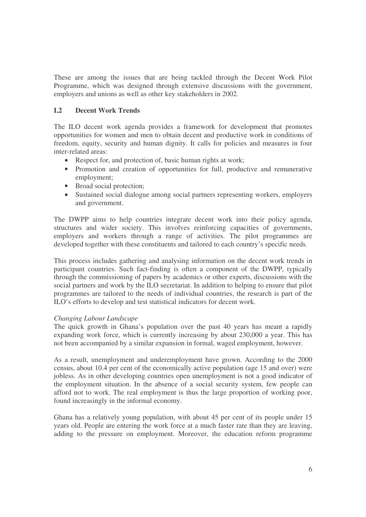These are among the issues that are being tackled through the Decent Work Pilot Programme, which was designed through extensive discussions with the government, employers and unions as well as other key stakeholders in 2002.

# **I.2 Decent Work Trends**

The ILO decent work agenda provides a framework for development that promotes opportunities for women and men to obtain decent and productive work in conditions of freedom, equity, security and human dignity. It calls for policies and measures in four inter-related areas:

- Respect for, and protection of, basic human rights at work;
- Promotion and creation of opportunities for full, productive and remunerative employment;
- Broad social protection;
- Sustained social dialogue among social partners representing workers, employers and government.

The DWPP aims to help countries integrate decent work into their policy agenda, structures and wider society. This involves reinforcing capacities of governments, employers and workers through a range of activities. The pilot programmes are developed together with these constituents and tailored to each country's specific needs.

This process includes gathering and analysing information on the decent work trends in participant countries. Such fact-finding is often a component of the DWPP, typically through the commissioning of papers by academics or other experts, discussions with the social partners and work by the ILO secretariat. In addition to helping to ensure that pilot programmes are tailored to the needs of individual countries, the research is part of the ILO's efforts to develop and test statistical indicators for decent work.

## *Changing Labour Landscape*

The quick growth in Ghana's population over the past 40 years has meant a rapidly expanding work force, which is currently increasing by about 230,000 a year. This has not been accompanied by a similar expansion in formal, waged employment, however.

As a result, unemployment and underemployment have grown. According to the 2000 census, about 10.4 per cent of the economically active population (age 15 and over) were jobless. As in other developing countries open unemployment is not a good indicator of the employment situation. In the absence of a social security system, few people can afford not to work. The real employment is thus the large proportion of working poor, found increasingly in the informal economy.

Ghana has a relatively young population, with about 45 per cent of its people under 15 years old. People are entering the work force at a much faster rate than they are leaving, adding to the pressure on employment. Moreover, the education reform programme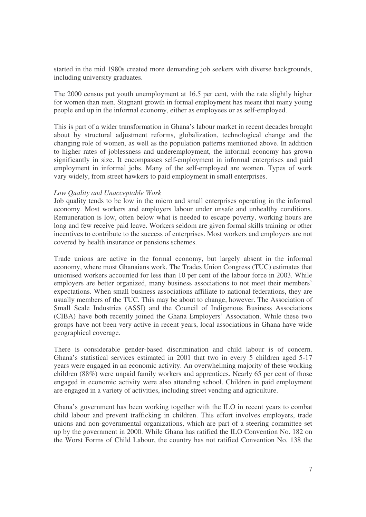started in the mid 1980s created more demanding job seekers with diverse backgrounds, including university graduates.

The 2000 census put youth unemployment at 16.5 per cent, with the rate slightly higher for women than men. Stagnant growth in formal employment has meant that many young people end up in the informal economy, either as employees or as self-employed.

This is part of a wider transformation in Ghana's labour market in recent decades brought about by structural adjustment reforms, globalization, technological change and the changing role of women, as well as the population patterns mentioned above. In addition to higher rates of joblessness and underemployment, the informal economy has grown significantly in size. It encompasses self-employment in informal enterprises and paid employment in informal jobs. Many of the self-employed are women. Types of work vary widely, from street hawkers to paid employment in small enterprises.

#### *Low Quality and Unacceptable Work*

Job quality tends to be low in the micro and small enterprises operating in the informal economy. Most workers and employers labour under unsafe and unhealthy conditions. Remuneration is low, often below what is needed to escape poverty, working hours are long and few receive paid leave. Workers seldom are given formal skills training or other incentives to contribute to the success of enterprises. Most workers and employers are not covered by health insurance or pensions schemes.

Trade unions are active in the formal economy, but largely absent in the informal economy, where most Ghanaians work. The Trades Union Congress (TUC) estimates that unionised workers accounted for less than 10 per cent of the labour force in 2003. While employers are better organized, many business associations to not meet their members' expectations. When small business associations affiliate to national federations, they are usually members of the TUC. This may be about to change, however. The Association of Small Scale Industries (ASSI) and the Council of Indigenous Business Associations (CIBA) have both recently joined the Ghana Employers' Association. While these two groups have not been very active in recent years, local associations in Ghana have wide geographical coverage.

There is considerable gender-based discrimination and child labour is of concern. Ghana's statistical services estimated in 2001 that two in every 5 children aged 5-17 years were engaged in an economic activity. An overwhelming majority of these working children (88%) were unpaid family workers and apprentices. Nearly 65 per cent of those engaged in economic activity were also attending school. Children in paid employment are engaged in a variety of activities, including street vending and agriculture.

Ghana's government has been working together with the ILO in recent years to combat child labour and prevent trafficking in children. This effort involves employers, trade unions and non-governmental organizations, which are part of a steering committee set up by the government in 2000. While Ghana has ratified the ILO Convention No. 182 on the Worst Forms of Child Labour, the country has not ratified Convention No. 138 the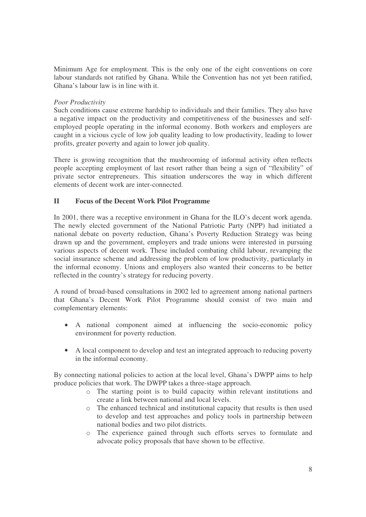Minimum Age for employment. This is the only one of the eight conventions on core labour standards not ratified by Ghana. While the Convention has not yet been ratified, Ghana's labour law is in line with it.

# *Poor Productivity*

Such conditions cause extreme hardship to individuals and their families. They also have a negative impact on the productivity and competitiveness of the businesses and selfemployed people operating in the informal economy. Both workers and employers are caught in a vicious cycle of low job quality leading to low productivity, leading to lower profits, greater poverty and again to lower job quality.

There is growing recognition that the mushrooming of informal activity often reflects people accepting employment of last resort rather than being a sign of "flexibility" of private sector entrepreneurs. This situation underscores the way in which different elements of decent work are inter-connected.

# **II Focus of the Decent Work Pilot Programme**

In 2001, there was a receptive environment in Ghana for the ILO's decent work agenda. The newly elected government of the National Patriotic Party (NPP) had initiated a national debate on poverty reduction, Ghana's Poverty Reduction Strategy was being drawn up and the government, employers and trade unions were interested in pursuing various aspects of decent work. These included combating child labour, revamping the social insurance scheme and addressing the problem of low productivity, particularly in the informal economy. Unions and employers also wanted their concerns to be better reflected in the country's strategy for reducing poverty.

A round of broad-based consultations in 2002 led to agreement among national partners that Ghana's Decent Work Pilot Programme should consist of two main and complementary elements:

- A national component aimed at influencing the socio-economic policy environment for poverty reduction.
- A local component to develop and test an integrated approach to reducing poverty in the informal economy.

By connecting national policies to action at the local level, Ghana's DWPP aims to help produce policies that work. The DWPP takes a three-stage approach.

- o The starting point is to build capacity within relevant institutions and create a link between national and local levels.
- o The enhanced technical and institutional capacity that results is then used to develop and test approaches and policy tools in partnership between national bodies and two pilot districts.
- o The experience gained through such efforts serves to formulate and advocate policy proposals that have shown to be effective.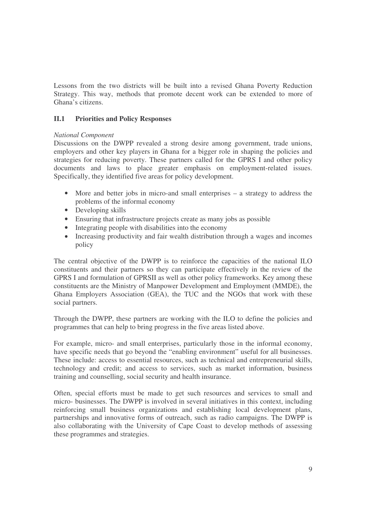Lessons from the two districts will be built into a revised Ghana Poverty Reduction Strategy. This way, methods that promote decent work can be extended to more of Ghana's citizens.

# **II.1 Priorities and Policy Responses**

### *National Component*

Discussions on the DWPP revealed a strong desire among government, trade unions, employers and other key players in Ghana for a bigger role in shaping the policies and strategies for reducing poverty. These partners called for the GPRS I and other policy documents and laws to place greater emphasis on employment-related issues. Specifically, they identified five areas for policy development.

- More and better jobs in micro-and small enterprises a strategy to address the problems of the informal economy
- Developing skills
- Ensuring that infrastructure projects create as many jobs as possible
- Integrating people with disabilities into the economy
- Increasing productivity and fair wealth distribution through a wages and incomes policy

The central objective of the DWPP is to reinforce the capacities of the national ILO constituents and their partners so they can participate effectively in the review of the GPRS I and formulation of GPRSII as well as other policy frameworks. Key among these constituents are the Ministry of Manpower Development and Employment (MMDE), the Ghana Employers Association (GEA), the TUC and the NGOs that work with these social partners.

Through the DWPP, these partners are working with the ILO to define the policies and programmes that can help to bring progress in the five areas listed above.

For example, micro- and small enterprises, particularly those in the informal economy, have specific needs that go beyond the "enabling environment" useful for all businesses. These include: access to essential resources, such as technical and entrepreneurial skills, technology and credit; and access to services, such as market information, business training and counselling, social security and health insurance.

Often, special efforts must be made to get such resources and services to small and micro- businesses. The DWPP is involved in several initiatives in this context, including reinforcing small business organizations and establishing local development plans, partnerships and innovative forms of outreach, such as radio campaigns. The DWPP is also collaborating with the University of Cape Coast to develop methods of assessing these programmes and strategies.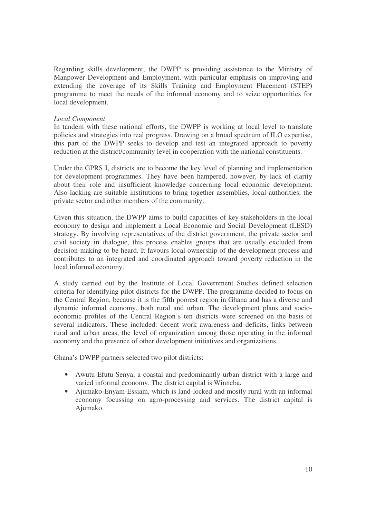Regarding skills development, the DWPP is providing assistance to the Ministry of Manpower Development and Employment, with particular emphasis on improving and extending the coverage of its Skills Training and Employment Placement (STEP) programme to meet the needs of the informal economy and to seize opportunities for local development.

### *Local Component*

In tandem with these national efforts, the DWPP is working at local level to translate policies and strategies into real progress. Drawing on a broad spectrum of ILO expertise, this part of the DWPP seeks to develop and test an integrated approach to poverty reduction at the district/community level in cooperation with the national constituents.

Under the GPRS I, districts are to become the key level of planning and implementation for development programmes. They have been hampered, however, by lack of clarity about their role and insufficient knowledge concerning local economic development. Also lacking are suitable institutions to bring together assemblies, local authorities, the private sector and other members of the community.

Given this situation, the DWPP aims to build capacities of key stakeholders in the local economy to design and implement a Local Economic and Social Development (LESD) strategy. By involving representatives of the district government, the private sector and civil society in dialogue, this process enables groups that are usually excluded from decision-making to be heard. It favours local ownership of the development process and contributes to an integrated and coordinated approach toward poverty reduction in the local informal economy.

A study carried out by the Institute of Local Government Studies defined selection criteria for identifying pilot districts for the DWPP. The programme decided to focus on the Central Region, because it is the fifth poorest region in Ghana and has a diverse and dynamic informal economy, both rural and urban. The development plans and socioeconomic profiles of the Central Region's ten districts were screened on the basis of several indicators. These included: decent work awareness and deficits, links between rural and urban areas, the level of organization among those operating in the informal economy and the presence of other development initiatives and organizations.

Ghana's DWPP partners selected two pilot districts:

- Awutu-Efutu-Senya, a coastal and predominantly urban district with a large and varied informal economy. The district capital is Winneba.
- Ajumako-Enyam-Essiam, which is land-locked and mostly rural with an informal economy focussing on agro-processing and services. The district capital is Ajumako.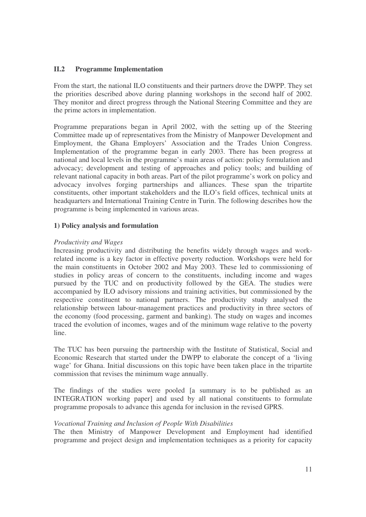# **II.2 Programme Implementation**

From the start, the national ILO constituents and their partners drove the DWPP. They set the priorities described above during planning workshops in the second half of 2002. They monitor and direct progress through the National Steering Committee and they are the prime actors in implementation.

Programme preparations began in April 2002, with the setting up of the Steering Committee made up of representatives from the Ministry of Manpower Development and Employment, the Ghana Employers' Association and the Trades Union Congress. Implementation of the programme began in early 2003. There has been progress at national and local levels in the programme's main areas of action: policy formulation and advocacy; development and testing of approaches and policy tools; and building of relevant national capacity in both areas. Part of the pilot programme's work on policy and advocacy involves forging partnerships and alliances. These span the tripartite constituents, other important stakeholders and the ILO's field offices, technical units at headquarters and International Training Centre in Turin. The following describes how the programme is being implemented in various areas.

### **1) Policy analysis and formulation**

### *Productivity and Wages*

Increasing productivity and distributing the benefits widely through wages and workrelated income is a key factor in effective poverty reduction. Workshops were held for the main constituents in October 2002 and May 2003. These led to commissioning of studies in policy areas of concern to the constituents, including income and wages pursued by the TUC and on productivity followed by the GEA. The studies were accompanied by ILO advisory missions and training activities, but commissioned by the respective constituent to national partners. The productivity study analysed the relationship between labour-management practices and productivity in three sectors of the economy (food processing, garment and banking). The study on wages and incomes traced the evolution of incomes, wages and of the minimum wage relative to the poverty line.

The TUC has been pursuing the partnership with the Institute of Statistical, Social and Economic Research that started under the DWPP to elaborate the concept of a 'living wage' for Ghana. Initial discussions on this topic have been taken place in the tripartite commission that revises the minimum wage annually.

The findings of the studies were pooled [a summary is to be published as an INTEGRATION working paper] and used by all national constituents to formulate programme proposals to advance this agenda for inclusion in the revised GPRS.

#### *Vocational Training and Inclusion of People With Disabilities*

The then Ministry of Manpower Development and Employment had identified programme and project design and implementation techniques as a priority for capacity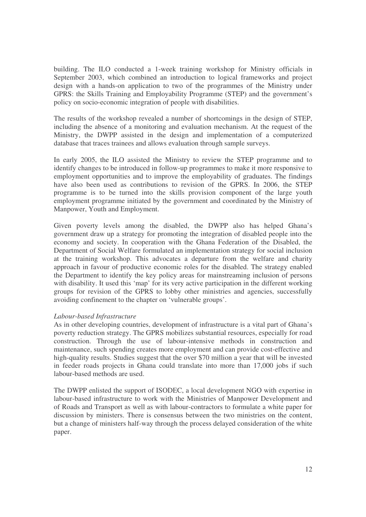building. The ILO conducted a 1-week training workshop for Ministry officials in September 2003, which combined an introduction to logical frameworks and project design with a hands-on application to two of the programmes of the Ministry under GPRS: the Skills Training and Employability Programme (STEP) and the government's policy on socio-economic integration of people with disabilities.

The results of the workshop revealed a number of shortcomings in the design of STEP, including the absence of a monitoring and evaluation mechanism. At the request of the Ministry, the DWPP assisted in the design and implementation of a computerized database that traces trainees and allows evaluation through sample surveys.

In early 2005, the ILO assisted the Ministry to review the STEP programme and to identify changes to be introduced in follow-up programmes to make it more responsive to employment opportunities and to improve the employability of graduates. The findings have also been used as contributions to revision of the GPRS. In 2006, the STEP programme is to be turned into the skills provision component of the large youth employment programme initiated by the government and coordinated by the Ministry of Manpower, Youth and Employment.

Given poverty levels among the disabled, the DWPP also has helped Ghana's government draw up a strategy for promoting the integration of disabled people into the economy and society. In cooperation with the Ghana Federation of the Disabled, the Department of Social Welfare formulated an implementation strategy for social inclusion at the training workshop. This advocates a departure from the welfare and charity approach in favour of productive economic roles for the disabled. The strategy enabled the Department to identify the key policy areas for mainstreaming inclusion of persons with disability. It used this 'map' for its very active participation in the different working groups for revision of the GPRS to lobby other ministries and agencies, successfully avoiding confinement to the chapter on 'vulnerable groups'.

#### *Labour-based Infrastructure*

As in other developing countries, development of infrastructure is a vital part of Ghana's poverty reduction strategy. The GPRS mobilizes substantial resources, especially for road construction. Through the use of labour-intensive methods in construction and maintenance, such spending creates more employment and can provide cost-effective and high-quality results. Studies suggest that the over \$70 million a year that will be invested in feeder roads projects in Ghana could translate into more than 17,000 jobs if such labour-based methods are used.

The DWPP enlisted the support of ISODEC, a local development NGO with expertise in labour-based infrastructure to work with the Ministries of Manpower Development and of Roads and Transport as well as with labour-contractors to formulate a white paper for discussion by ministers. There is consensus between the two ministries on the content, but a change of ministers half-way through the process delayed consideration of the white paper.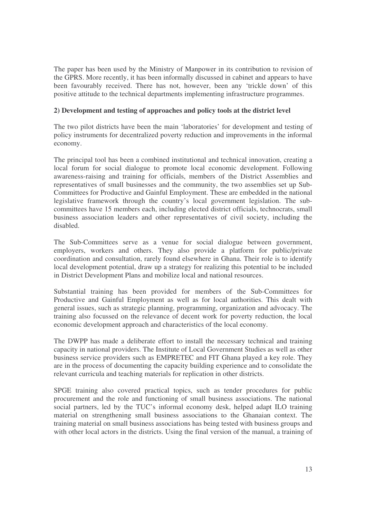The paper has been used by the Ministry of Manpower in its contribution to revision of the GPRS. More recently, it has been informally discussed in cabinet and appears to have been favourably received. There has not, however, been any 'trickle down' of this positive attitude to the technical departments implementing infrastructure programmes.

# **2) Development and testing of approaches and policy tools at the district level**

The two pilot districts have been the main 'laboratories' for development and testing of policy instruments for decentralized poverty reduction and improvements in the informal economy.

The principal tool has been a combined institutional and technical innovation, creating a local forum for social dialogue to promote local economic development. Following awareness-raising and training for officials, members of the District Assemblies and representatives of small businesses and the community, the two assemblies set up Sub-Committees for Productive and Gainful Employment. These are embedded in the national legislative framework through the country's local government legislation. The subcommittees have 15 members each, including elected district officials, technocrats, small business association leaders and other representatives of civil society, including the disabled.

The Sub-Committees serve as a venue for social dialogue between government, employers, workers and others. They also provide a platform for public/private coordination and consultation, rarely found elsewhere in Ghana. Their role is to identify local development potential, draw up a strategy for realizing this potential to be included in District Development Plans and mobilize local and national resources.

Substantial training has been provided for members of the Sub-Committees for Productive and Gainful Employment as well as for local authorities. This dealt with general issues, such as strategic planning, programming, organization and advocacy. The training also focussed on the relevance of decent work for poverty reduction, the local economic development approach and characteristics of the local economy.

The DWPP has made a deliberate effort to install the necessary technical and training capacity in national providers. The Institute of Local Government Studies as well as other business service providers such as EMPRETEC and FIT Ghana played a key role. They are in the process of documenting the capacity building experience and to consolidate the relevant curricula and teaching materials for replication in other districts.

SPGE training also covered practical topics, such as tender procedures for public procurement and the role and functioning of small business associations. The national social partners, led by the TUC's informal economy desk, helped adapt ILO training material on strengthening small business associations to the Ghanaian context. The training material on small business associations has being tested with business groups and with other local actors in the districts. Using the final version of the manual, a training of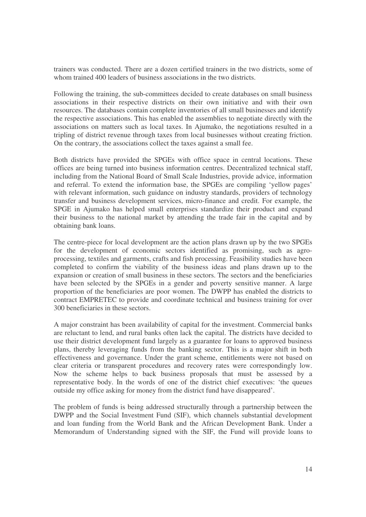trainers was conducted. There are a dozen certified trainers in the two districts, some of whom trained 400 leaders of business associations in the two districts.

Following the training, the sub-committees decided to create databases on small business associations in their respective districts on their own initiative and with their own resources. The databases contain complete inventories of all small businesses and identify the respective associations. This has enabled the assemblies to negotiate directly with the associations on matters such as local taxes. In Ajumako, the negotiations resulted in a tripling of district revenue through taxes from local businesses without creating friction. On the contrary, the associations collect the taxes against a small fee.

Both districts have provided the SPGEs with office space in central locations. These offices are being turned into business information centres. Decentralized technical staff, including from the National Board of Small Scale Industries, provide advice, information and referral. To extend the information base, the SPGEs are compiling 'yellow pages' with relevant information, such guidance on industry standards, providers of technology transfer and business development services, micro-finance and credit. For example, the SPGE in Ajumako has helped small enterprises standardize their product and expand their business to the national market by attending the trade fair in the capital and by obtaining bank loans.

The centre-piece for local development are the action plans drawn up by the two SPGEs for the development of economic sectors identified as promising, such as agroprocessing, textiles and garments, crafts and fish processing. Feasibility studies have been completed to confirm the viability of the business ideas and plans drawn up to the expansion or creation of small business in these sectors. The sectors and the beneficiaries have been selected by the SPGEs in a gender and poverty sensitive manner. A large proportion of the beneficiaries are poor women. The DWPP has enabled the districts to contract EMPRETEC to provide and coordinate technical and business training for over 300 beneficiaries in these sectors.

A major constraint has been availability of capital for the investment. Commercial banks are reluctant to lend, and rural banks often lack the capital. The districts have decided to use their district development fund largely as a guarantee for loans to approved business plans, thereby leveraging funds from the banking sector. This is a major shift in both effectiveness and governance. Under the grant scheme, entitlements were not based on clear criteria or transparent procedures and recovery rates were correspondingly low. Now the scheme helps to back business proposals that must be assessed by a representative body. In the words of one of the district chief executives: 'the queues outside my office asking for money from the district fund have disappeared'.

The problem of funds is being addressed structurally through a partnership between the DWPP and the Social Investment Fund (SIF), which channels substantial development and loan funding from the World Bank and the African Development Bank. Under a Memorandum of Understanding signed with the SIF, the Fund will provide loans to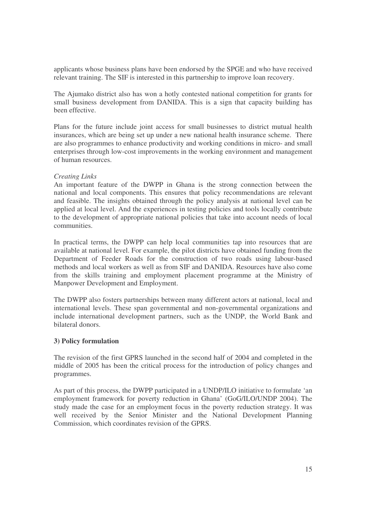applicants whose business plans have been endorsed by the SPGE and who have received relevant training. The SIF is interested in this partnership to improve loan recovery.

The Ajumako district also has won a hotly contested national competition for grants for small business development from DANIDA. This is a sign that capacity building has been effective.

Plans for the future include joint access for small businesses to district mutual health insurances, which are being set up under a new national health insurance scheme. There are also programmes to enhance productivity and working conditions in micro- and small enterprises through low-cost improvements in the working environment and management of human resources.

### *Creating Links*

An important feature of the DWPP in Ghana is the strong connection between the national and local components. This ensures that policy recommendations are relevant and feasible. The insights obtained through the policy analysis at national level can be applied at local level. And the experiences in testing policies and tools locally contribute to the development of appropriate national policies that take into account needs of local communities.

In practical terms, the DWPP can help local communities tap into resources that are available at national level. For example, the pilot districts have obtained funding from the Department of Feeder Roads for the construction of two roads using labour-based methods and local workers as well as from SIF and DANIDA. Resources have also come from the skills training and employment placement programme at the Ministry of Manpower Development and Employment.

The DWPP also fosters partnerships between many different actors at national, local and international levels. These span governmental and non-governmental organizations and include international development partners, such as the UNDP, the World Bank and bilateral donors.

## **3) Policy formulation**

The revision of the first GPRS launched in the second half of 2004 and completed in the middle of 2005 has been the critical process for the introduction of policy changes and programmes.

As part of this process, the DWPP participated in a UNDP/ILO initiative to formulate 'an employment framework for poverty reduction in Ghana' (GoG/ILO/UNDP 2004). The study made the case for an employment focus in the poverty reduction strategy. It was well received by the Senior Minister and the National Development Planning Commission, which coordinates revision of the GPRS.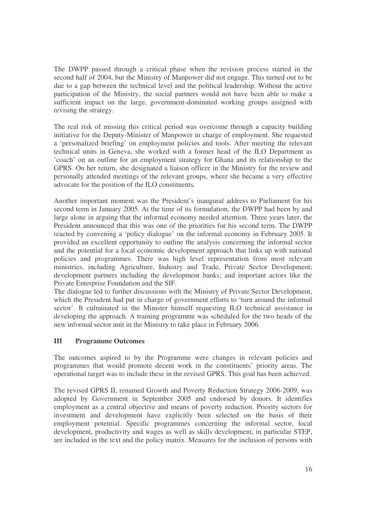The DWPP passed through a critical phase when the revision process started in the second half of 2004, but the Ministry of Manpower did not engage. This turned out to be due to a gap between the technical level and the political leadership. Without the active participation of the Ministry, the social partners would not have been able to make a sufficient impact on the large, government-dominated working groups assigned with revising the strategy.

The real risk of missing this critical period was overcome through a capacity building initiative for the Deputy-Minister of Manpower in charge of employment. She requested a 'personalized briefing' on employment policies and tools. After meeting the relevant technical units in Geneva, she worked with a former head of the ILO Department as 'coach' on an outline for an employment strategy for Ghana and its relationship to the GPRS. On her return, she designated a liaison officer in the Ministry for the review and personally attended meetings of the relevant groups, where she became a very effective advocate for the position of the ILO constituents.

Another important moment was the President's inaugural address to Parliament for his second term in January 2005. At the time of its formulation, the DWPP had been by and large alone in arguing that the informal economy needed attention. Three years later, the President announced that this was one of the priorities for his second term. The DWPP reacted by convening a 'policy dialogue' on the informal economy in February 2005. It provided an excellent opportunity to outline the analysis concerning the informal sector and the potential for a local economic development approach that links up with national policies and programmes. There was high level representation from most relevant ministries, including Agriculture, Industry and Trade, Private Sector Development; development partners including the development banks; and important actors like the Private Enterprise Foundation and the SIF.

The dialogue led to further discussions with the Ministry of Private Sector Development, which the President had put in charge of government efforts to 'turn around the informal sector'. It culminated in the Minister himself requesting ILO technical assistance in developing the approach. A training programme was scheduled for the two heads of the new informal sector unit in the Ministry to take place in February 2006.

## **III Programme Outcomes**

The outcomes aspired to by the Programme were changes in relevant policies and programmes that would promote decent work in the constituents' priority areas. The operational target was to include these in the revised GPRS. This goal has been achieved.

The revised GPRS II, renamed Growth and Poverty Reduction Strategy 2006-2009, was adopted by Government in September 2005 and endorsed by donors. It identifies employment as a central objective and means of poverty reduction. Priority sectors for investment and development have explicitly been selected on the basis of their employment potential. Specific programmes concerning the informal sector, local development, productivity and wages as well as skills development, in particular STEP, are included in the text and the policy matrix. Measures for the inclusion of persons with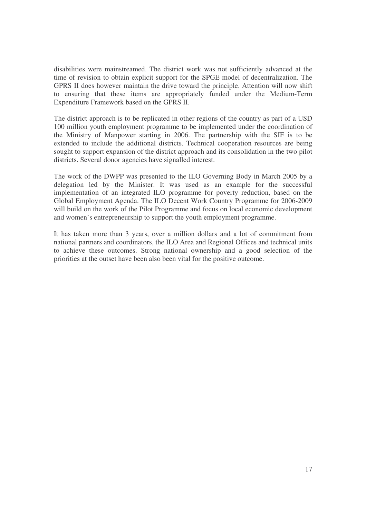disabilities were mainstreamed. The district work was not sufficiently advanced at the time of revision to obtain explicit support for the SPGE model of decentralization. The GPRS II does however maintain the drive toward the principle. Attention will now shift to ensuring that these items are appropriately funded under the Medium-Term Expenditure Framework based on the GPRS II.

The district approach is to be replicated in other regions of the country as part of a USD 100 million youth employment programme to be implemented under the coordination of the Ministry of Manpower starting in 2006. The partnership with the SIF is to be extended to include the additional districts. Technical cooperation resources are being sought to support expansion of the district approach and its consolidation in the two pilot districts. Several donor agencies have signalled interest.

The work of the DWPP was presented to the ILO Governing Body in March 2005 by a delegation led by the Minister. It was used as an example for the successful implementation of an integrated ILO programme for poverty reduction, based on the Global Employment Agenda. The ILO Decent Work Country Programme for 2006-2009 will build on the work of the Pilot Programme and focus on local economic development and women's entrepreneurship to support the youth employment programme.

It has taken more than 3 years, over a million dollars and a lot of commitment from national partners and coordinators, the ILO Area and Regional Offices and technical units to achieve these outcomes. Strong national ownership and a good selection of the priorities at the outset have been also been vital for the positive outcome.